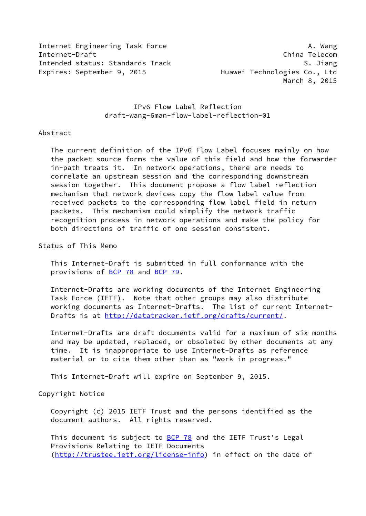Internet Engineering Task Force **A.** Wang Internet-Draft China Telecom Intended status: Standards Track S. Jiang Expires: September 9, 2015 Huawei Technologies Co., Ltd

March 8, 2015

 IPv6 Flow Label Reflection draft-wang-6man-flow-label-reflection-01

### Abstract

 The current definition of the IPv6 Flow Label focuses mainly on how the packet source forms the value of this field and how the forwarder in-path treats it. In network operations, there are needs to correlate an upstream session and the corresponding downstream session together. This document propose a flow label reflection mechanism that network devices copy the flow label value from received packets to the corresponding flow label field in return packets. This mechanism could simplify the network traffic recognition process in network operations and make the policy for both directions of traffic of one session consistent.

Status of This Memo

 This Internet-Draft is submitted in full conformance with the provisions of [BCP 78](https://datatracker.ietf.org/doc/pdf/bcp78) and [BCP 79](https://datatracker.ietf.org/doc/pdf/bcp79).

 Internet-Drafts are working documents of the Internet Engineering Task Force (IETF). Note that other groups may also distribute working documents as Internet-Drafts. The list of current Internet- Drafts is at<http://datatracker.ietf.org/drafts/current/>.

 Internet-Drafts are draft documents valid for a maximum of six months and may be updated, replaced, or obsoleted by other documents at any time. It is inappropriate to use Internet-Drafts as reference material or to cite them other than as "work in progress."

This Internet-Draft will expire on September 9, 2015.

## Copyright Notice

 Copyright (c) 2015 IETF Trust and the persons identified as the document authors. All rights reserved.

This document is subject to **[BCP 78](https://datatracker.ietf.org/doc/pdf/bcp78)** and the IETF Trust's Legal Provisions Relating to IETF Documents [\(http://trustee.ietf.org/license-info](http://trustee.ietf.org/license-info)) in effect on the date of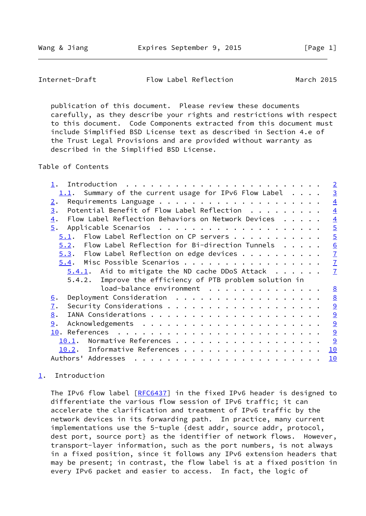<span id="page-1-1"></span>Internet-Draft Flow Label Reflection March 2015

 publication of this document. Please review these documents carefully, as they describe your rights and restrictions with respect to this document. Code Components extracted from this document must include Simplified BSD License text as described in Section 4.e of the Trust Legal Provisions and are provided without warranty as described in the Simplified BSD License.

Table of Contents

|                                                                        | $\overline{2}$  |
|------------------------------------------------------------------------|-----------------|
| $1.1$ . Summary of the current usage for IPv6 Flow Label               | $\overline{3}$  |
| 2.                                                                     | $\overline{4}$  |
| Potential Benefit of Flow Label Reflection<br>3.                       | $\overline{4}$  |
| Flow Label Reflection Behaviors on Network Devices<br>$\overline{4}$ . | $\overline{4}$  |
| 5.                                                                     | $\overline{5}$  |
| Flow Label Reflection on CP servers<br>5.1.                            | $\overline{5}$  |
| $5.2.$ Flow Label Reflection for Bi-direction Tunnels $.$              | 6               |
| $5.3$ . Flow Label Reflection on edge devices                          | $\overline{1}$  |
| Misc Possible Scenarios<br>5.4.                                        | $\mathbf{Z}$    |
| $5.4.1$ . Aid to mitigate the ND cache DDoS Attack                     | $\overline{1}$  |
| 5.4.2. Improve the efficiency of PTB problem solution in               |                 |
| load-balance environment                                               | $\underline{8}$ |
| Deployment Consideration<br><u>6</u> .                                 | $\underline{8}$ |
| $\overline{1}$ .                                                       | $\overline{9}$  |
| 8.                                                                     | 9               |
| 9.                                                                     | 9               |
| 10.                                                                    | 9               |
| Normative References<br>10.1.                                          | 9               |
| Informative References<br>10.2.                                        | 10              |
| Authors' Addresses                                                     | 10              |

# <span id="page-1-0"></span>[1](#page-1-0). Introduction

The IPv6 flow label [\[RFC6437](https://datatracker.ietf.org/doc/pdf/rfc6437)] in the fixed IPv6 header is designed to differentiate the various flow session of IPv6 traffic; it can accelerate the clarification and treatment of IPv6 traffic by the network devices in its forwarding path. In practice, many current implementations use the 5-tuple {dest addr, source addr, protocol, dest port, source port} as the identifier of network flows. However, transport-layer information, such as the port numbers, is not always in a fixed position, since it follows any IPv6 extension headers that may be present; in contrast, the flow label is at a fixed position in every IPv6 packet and easier to access. In fact, the logic of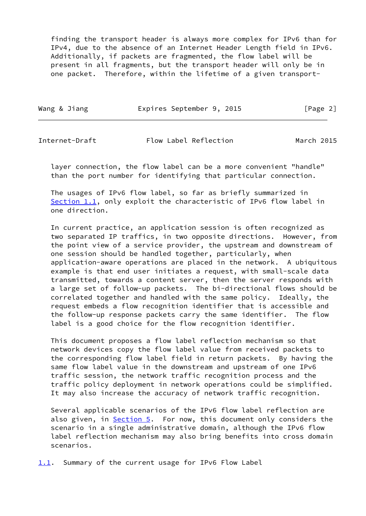finding the transport header is always more complex for IPv6 than for IPv4, due to the absence of an Internet Header Length field in IPv6. Additionally, if packets are fragmented, the flow label will be present in all fragments, but the transport header will only be in one packet. Therefore, within the lifetime of a given transport-

| Wang & Jiang | Expires September 9, 2015 | [Page 2] |
|--------------|---------------------------|----------|
|              |                           |          |

<span id="page-2-1"></span>Internet-Draft Flow Label Reflection March 2015

 layer connection, the flow label can be a more convenient "handle" than the port number for identifying that particular connection.

 The usages of IPv6 flow label, so far as briefly summarized in [Section 1.1](#page-2-0), only exploit the characteristic of IPv6 flow label in one direction.

 In current practice, an application session is often recognized as two separated IP traffics, in two opposite directions. However, from the point view of a service provider, the upstream and downstream of one session should be handled together, particularly, when application-aware operations are placed in the network. A ubiquitous example is that end user initiates a request, with small-scale data transmitted, towards a content server, then the server responds with a large set of follow-up packets. The bi-directional flows should be correlated together and handled with the same policy. Ideally, the request embeds a flow recognition identifier that is accessible and the follow-up response packets carry the same identifier. The flow label is a good choice for the flow recognition identifier.

 This document proposes a flow label reflection mechanism so that network devices copy the flow label value from received packets to the corresponding flow label field in return packets. By having the same flow label value in the downstream and upstream of one IPv6 traffic session, the network traffic recognition process and the traffic policy deployment in network operations could be simplified. It may also increase the accuracy of network traffic recognition.

 Several applicable scenarios of the IPv6 flow label reflection are also given, in **[Section 5.](#page-4-1)** For now, this document only considers the scenario in a single administrative domain, although the IPv6 flow label reflection mechanism may also bring benefits into cross domain scenarios.

<span id="page-2-0"></span>[1.1](#page-2-0). Summary of the current usage for IPv6 Flow Label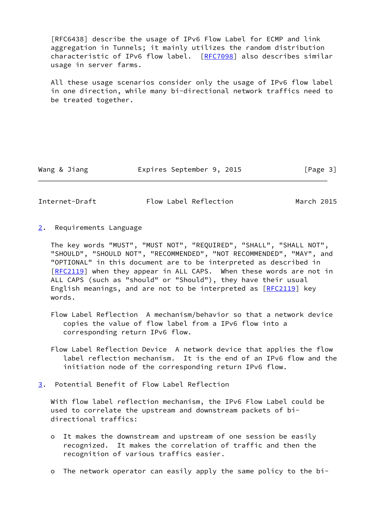[RFC6438] describe the usage of IPv6 Flow Label for ECMP and link aggregation in Tunnels; it mainly utilizes the random distribution characteristic of IPv6 flow label. [\[RFC7098](https://datatracker.ietf.org/doc/pdf/rfc7098)] also describes similar usage in server farms.

 All these usage scenarios consider only the usage of IPv6 flow label in one direction, while many bi-directional network traffics need to be treated together.

Wang & Jiang **Expires September 9, 2015** [Page 3]

<span id="page-3-1"></span>Internet-Draft Flow Label Reflection March 2015

<span id="page-3-0"></span>[2](#page-3-0). Requirements Language

 The key words "MUST", "MUST NOT", "REQUIRED", "SHALL", "SHALL NOT", "SHOULD", "SHOULD NOT", "RECOMMENDED", "NOT RECOMMENDED", "MAY", and "OPTIONAL" in this document are to be interpreted as described in [\[RFC2119](https://datatracker.ietf.org/doc/pdf/rfc2119)] when they appear in ALL CAPS. When these words are not in ALL CAPS (such as "should" or "Should"), they have their usual English meanings, and are not to be interpreted as [[RFC2119\]](https://datatracker.ietf.org/doc/pdf/rfc2119) key words.

- Flow Label Reflection A mechanism/behavior so that a network device copies the value of flow label from a IPv6 flow into a corresponding return IPv6 flow.
- Flow Label Reflection Device A network device that applies the flow label reflection mechanism. It is the end of an IPv6 flow and the initiation node of the corresponding return IPv6 flow.
- <span id="page-3-2"></span>[3](#page-3-2). Potential Benefit of Flow Label Reflection

 With flow label reflection mechanism, the IPv6 Flow Label could be used to correlate the upstream and downstream packets of bi directional traffics:

- o It makes the downstream and upstream of one session be easily recognized. It makes the correlation of traffic and then the recognition of various traffics easier.
- o The network operator can easily apply the same policy to the bi-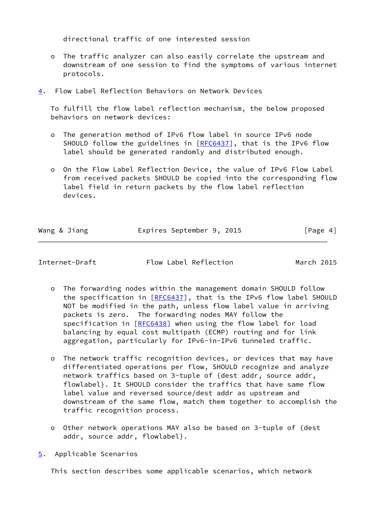directional traffic of one interested session

- o The traffic analyzer can also easily correlate the upstream and downstream of one session to find the symptoms of various internet protocols.
- <span id="page-4-0"></span>[4](#page-4-0). Flow Label Reflection Behaviors on Network Devices

 To fulfill the flow label reflection mechanism, the below proposed behaviors on network devices:

- o The generation method of IPv6 flow label in source IPv6 node SHOULD follow the guidelines in [[RFC6437\]](https://datatracker.ietf.org/doc/pdf/rfc6437), that is the IPv6 flow label should be generated randomly and distributed enough.
- o On the Flow Label Reflection Device, the value of IPv6 Flow Label from received packets SHOULD be copied into the corresponding flow label field in return packets by the flow label reflection devices.

| Wang & Jiang | Expires September 9, 2015 | [Page 4] |
|--------------|---------------------------|----------|

<span id="page-4-2"></span>

Internet-Draft Flow Label Reflection March 2015

- o The forwarding nodes within the management domain SHOULD follow the specification in [\[RFC6437](https://datatracker.ietf.org/doc/pdf/rfc6437)], that is the IPv6 flow label SHOULD NOT be modified in the path, unless flow label value in arriving packets is zero. The forwarding nodes MAY follow the specification in [\[RFC6438](https://datatracker.ietf.org/doc/pdf/rfc6438)] when using the flow label for load balancing by equal cost multipath (ECMP) routing and for link aggregation, particularly for IPv6-in-IPv6 tunneled traffic.
- o The network traffic recognition devices, or devices that may have differentiated operations per flow, SHOULD recognize and analyze network traffics based on 3-tuple of {dest addr, source addr, flowlabel}. It SHOULD consider the traffics that have same flow label value and reversed source/dest addr as upstream and downstream of the same flow, match them together to accomplish the traffic recognition process.
- o Other network operations MAY also be based on 3-tuple of {dest addr, source addr, flowlabel}.
- <span id="page-4-1"></span>[5](#page-4-1). Applicable Scenarios

This section describes some applicable scenarios, which network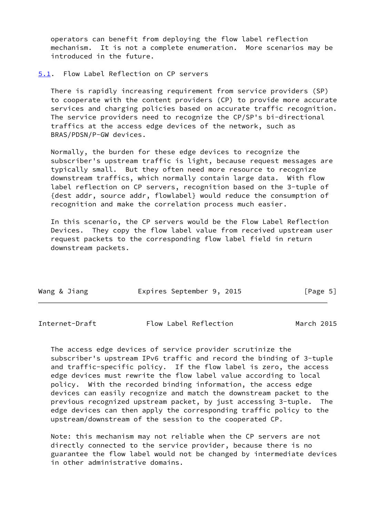operators can benefit from deploying the flow label reflection mechanism. It is not a complete enumeration. More scenarios may be introduced in the future.

#### <span id="page-5-0"></span>[5.1](#page-5-0). Flow Label Reflection on CP servers

 There is rapidly increasing requirement from service providers (SP) to cooperate with the content providers (CP) to provide more accurate services and charging policies based on accurate traffic recognition. The service providers need to recognize the CP/SP's bi-directional traffics at the access edge devices of the network, such as BRAS/PDSN/P-GW devices.

 Normally, the burden for these edge devices to recognize the subscriber's upstream traffic is light, because request messages are typically small. But they often need more resource to recognize downstream traffics, which normally contain large data. With flow label reflection on CP servers, recognition based on the 3-tuple of {dest addr, source addr, flowlabel} would reduce the consumption of recognition and make the correlation process much easier.

 In this scenario, the CP servers would be the Flow Label Reflection Devices. They copy the flow label value from received upstream user request packets to the corresponding flow label field in return downstream packets.

| Wang & Jiang | Expires September 9, 2015 | [Page 5] |
|--------------|---------------------------|----------|

<span id="page-5-1"></span>

| Internet-Draft | Flow Label Reflection | March 2015 |
|----------------|-----------------------|------------|
|----------------|-----------------------|------------|

 The access edge devices of service provider scrutinize the subscriber's upstream IPv6 traffic and record the binding of 3-tuple and traffic-specific policy. If the flow label is zero, the access edge devices must rewrite the flow label value according to local policy. With the recorded binding information, the access edge devices can easily recognize and match the downstream packet to the previous recognized upstream packet, by just accessing 3-tuple. The edge devices can then apply the corresponding traffic policy to the upstream/downstream of the session to the cooperated CP.

 Note: this mechanism may not reliable when the CP servers are not directly connected to the service provider, because there is no guarantee the flow label would not be changed by intermediate devices in other administrative domains.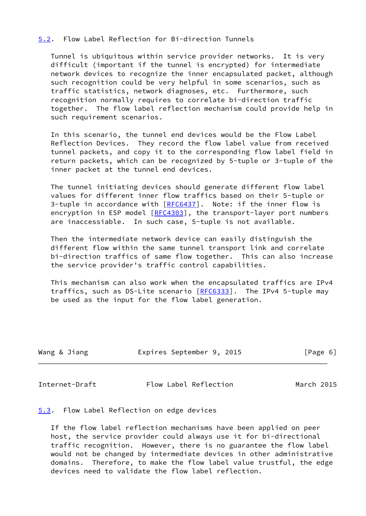## <span id="page-6-0"></span>[5.2](#page-6-0). Flow Label Reflection for Bi-direction Tunnels

 Tunnel is ubiquitous within service provider networks. It is very difficult (important if the tunnel is encrypted) for intermediate network devices to recognize the inner encapsulated packet, although such recognition could be very helpful in some scenarios, such as traffic statistics, network diagnoses, etc. Furthermore, such recognition normally requires to correlate bi-direction traffic together. The flow label reflection mechanism could provide help in such requirement scenarios.

 In this scenario, the tunnel end devices would be the Flow Label Reflection Devices. They record the flow label value from received tunnel packets, and copy it to the corresponding flow label field in return packets, which can be recognized by 5-tuple or 3-tuple of the inner packet at the tunnel end devices.

 The tunnel initiating devices should generate different flow label values for different inner flow traffics based on their 5-tuple or 3-tuple in accordance with [[RFC6437\]](https://datatracker.ietf.org/doc/pdf/rfc6437). Note: if the inner flow is encryption in ESP model [\[RFC4303](https://datatracker.ietf.org/doc/pdf/rfc4303)], the transport-layer port numbers are inaccessiable. In such case, 5-tuple is not available.

 Then the intermediate network device can easily distinguish the different flow within the same tunnel transport link and correlate bi-direction traffics of same flow together. This can also increase the service provider's traffic control capabilities.

 This mechanism can also work when the encapsulated traffics are IPv4 traffics, such as DS-Lite scenario [[RFC6333\]](https://datatracker.ietf.org/doc/pdf/rfc6333). The IPv4 5-tuple may be used as the input for the flow label generation.

| Wang & Jiang | Expires September 9, 2015 |  | [Page 6] |  |
|--------------|---------------------------|--|----------|--|
|              |                           |  |          |  |

<span id="page-6-2"></span>Internet-Draft Flow Label Reflection March 2015

<span id="page-6-1"></span>[5.3](#page-6-1). Flow Label Reflection on edge devices

 If the flow label reflection mechanisms have been applied on peer host, the service provider could always use it for bi-directional traffic recognition. However, there is no guarantee the flow label would not be changed by intermediate devices in other administrative domains. Therefore, to make the flow label value trustful, the edge devices need to validate the flow label reflection.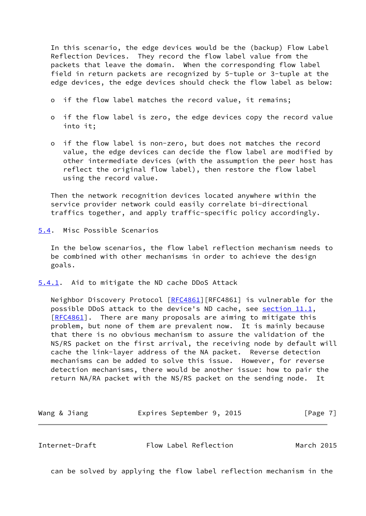In this scenario, the edge devices would be the (backup) Flow Label Reflection Devices. They record the flow label value from the packets that leave the domain. When the corresponding flow label field in return packets are recognized by 5-tuple or 3-tuple at the edge devices, the edge devices should check the flow label as below:

- o if the flow label matches the record value, it remains;
- o if the flow label is zero, the edge devices copy the record value into it;
- o if the flow label is non-zero, but does not matches the record value, the edge devices can decide the flow label are modified by other intermediate devices (with the assumption the peer host has reflect the original flow label), then restore the flow label using the record value.

 Then the network recognition devices located anywhere within the service provider network could easily correlate bi-directional traffics together, and apply traffic-specific policy accordingly.

<span id="page-7-0"></span>[5.4](#page-7-0). Misc Possible Scenarios

 In the below scenarios, the flow label reflection mechanism needs to be combined with other mechanisms in order to achieve the design goals.

<span id="page-7-1"></span>[5.4.1](#page-7-1). Aid to mitigate the ND cache DDoS Attack

Neighbor Discovery Protocol [\[RFC4861](https://datatracker.ietf.org/doc/pdf/rfc4861)][RFC4861] is vulnerable for the possible DDoS attack to the device's ND cache, see section 11.1, [\[RFC4861](https://datatracker.ietf.org/doc/pdf/rfc4861)]. There are many proposals are aiming to mitigate this problem, but none of them are prevalent now. It is mainly because that there is no obvious mechanism to assure the validation of the NS/RS packet on the first arrival, the receiving node by default will cache the link-layer address of the NA packet. Reverse detection mechanisms can be added to solve this issue. However, for reverse detection mechanisms, there would be another issue: how to pair the return NA/RA packet with the NS/RS packet on the sending node. It

| Wang & Jiang | Expires September 9, 2015 | [Page 7] |
|--------------|---------------------------|----------|
|              |                           |          |

<span id="page-7-2"></span>Internet-Draft Flow Label Reflection March 2015

can be solved by applying the flow label reflection mechanism in the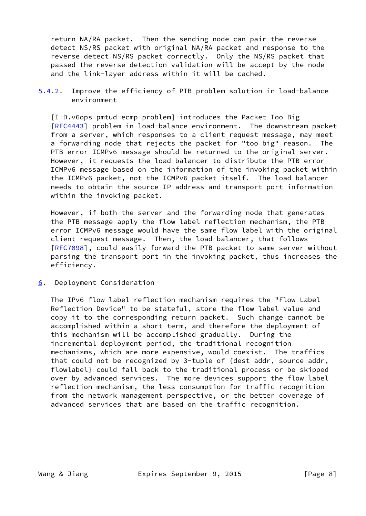return NA/RA packet. Then the sending node can pair the reverse detect NS/RS packet with original NA/RA packet and response to the reverse detect NS/RS packet correctly. Only the NS/RS packet that passed the reverse detection validation will be accept by the node and the link-layer address within it will be cached.

<span id="page-8-1"></span>[5.4.2](#page-8-1). Improve the efficiency of PTB problem solution in load-balance environment

 [I-D.v6ops-pmtud-ecmp-problem] introduces the Packet Too Big [\[RFC4443](https://datatracker.ietf.org/doc/pdf/rfc4443)] problem in load-balance environment. The downstream packet from a server, which responses to a client request message, may meet a forwarding node that rejects the packet for "too big" reason. The PTB error ICMPv6 message should be returned to the original server. However, it requests the load balancer to distribute the PTB error ICMPv6 message based on the information of the invoking packet within the ICMPv6 packet, not the ICMPv6 packet itself. The load balancer needs to obtain the source IP address and transport port information within the invoking packet.

 However, if both the server and the forwarding node that generates the PTB message apply the flow label reflection mechanism, the PTB error ICMPv6 message would have the same flow label with the original client request message. Then, the load balancer, that follows [\[RFC7098](https://datatracker.ietf.org/doc/pdf/rfc7098)], could easily forward the PTB packet to same server without parsing the transport port in the invoking packet, thus increases the efficiency.

<span id="page-8-0"></span>[6](#page-8-0). Deployment Consideration

 The IPv6 flow label reflection mechanism requires the "Flow Label Reflection Device" to be stateful, store the flow label value and copy it to the corresponding return packet. Such change cannot be accomplished within a short term, and therefore the deployment of this mechanism will be accomplished gradually. During the incremental deployment period, the traditional recognition mechanisms, which are more expensive, would coexist. The traffics that could not be recognized by 3-tuple of {dest addr, source addr, flowlabel} could fall back to the traditional process or be skipped over by advanced services. The more devices support the flow label reflection mechanism, the less consumption for traffic recognition from the network management perspective, or the better coverage of advanced services that are based on the traffic recognition.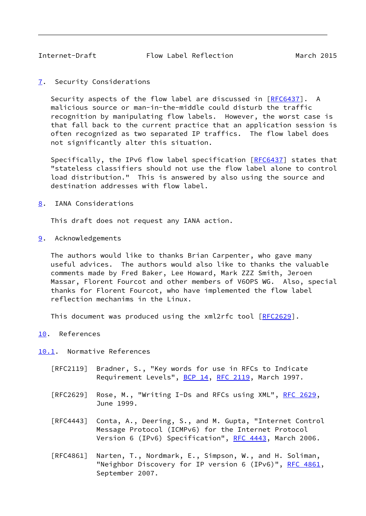<span id="page-9-1"></span><span id="page-9-0"></span>[7](#page-9-0). Security Considerations

 Security aspects of the flow label are discussed in [\[RFC6437](https://datatracker.ietf.org/doc/pdf/rfc6437)]. A malicious source or man-in-the-middle could disturb the traffic recognition by manipulating flow labels. However, the worst case is that fall back to the current practice that an application session is often recognized as two separated IP traffics. The flow label does not significantly alter this situation.

 Specifically, the IPv6 flow label specification [\[RFC6437](https://datatracker.ietf.org/doc/pdf/rfc6437)] states that "stateless classifiers should not use the flow label alone to control load distribution." This is answered by also using the source and destination addresses with flow label.

<span id="page-9-2"></span>[8](#page-9-2). IANA Considerations

This draft does not request any IANA action.

<span id="page-9-3"></span>[9](#page-9-3). Acknowledgements

 The authors would like to thanks Brian Carpenter, who gave many useful advices. The authors would also like to thanks the valuable comments made by Fred Baker, Lee Howard, Mark ZZZ Smith, Jeroen Massar, Florent Fourcot and other members of V6OPS WG. Also, special thanks for Florent Fourcot, who have implemented the flow label reflection mechanims in the Linux.

This document was produced using the xml2rfc tool [[RFC2629](https://datatracker.ietf.org/doc/pdf/rfc2629)].

<span id="page-9-4"></span>[10.](#page-9-4) References

<span id="page-9-5"></span>[10.1](#page-9-5). Normative References

- [RFC2119] Bradner, S., "Key words for use in RFCs to Indicate Requirement Levels", [BCP 14](https://datatracker.ietf.org/doc/pdf/bcp14), [RFC 2119](https://datatracker.ietf.org/doc/pdf/rfc2119), March 1997.
- [RFC2629] Rose, M., "Writing I-Ds and RFCs using XML", [RFC 2629](https://datatracker.ietf.org/doc/pdf/rfc2629), June 1999.
- [RFC4443] Conta, A., Deering, S., and M. Gupta, "Internet Control Message Protocol (ICMPv6) for the Internet Protocol Version 6 (IPv6) Specification", [RFC 4443,](https://datatracker.ietf.org/doc/pdf/rfc4443) March 2006.
- [RFC4861] Narten, T., Nordmark, E., Simpson, W., and H. Soliman, "Neighbor Discovery for IP version 6 (IPv6)", [RFC 4861](https://datatracker.ietf.org/doc/pdf/rfc4861), September 2007.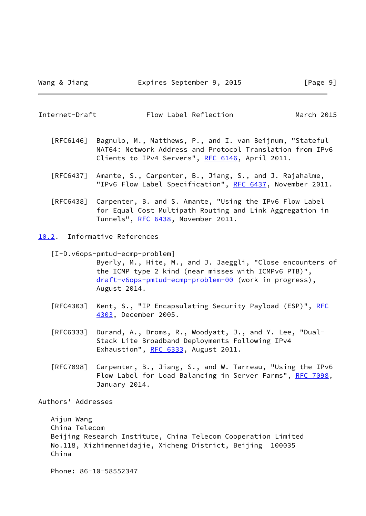March 2015

<span id="page-10-1"></span>

- [RFC6146] Bagnulo, M., Matthews, P., and I. van Beijnum, "Stateful NAT64: Network Address and Protocol Translation from IPv6 Clients to IPv4 Servers", [RFC 6146](https://datatracker.ietf.org/doc/pdf/rfc6146), April 2011.
- [RFC6437] Amante, S., Carpenter, B., Jiang, S., and J. Rajahalme, "IPv6 Flow Label Specification", [RFC 6437,](https://datatracker.ietf.org/doc/pdf/rfc6437) November 2011.
- [RFC6438] Carpenter, B. and S. Amante, "Using the IPv6 Flow Label for Equal Cost Multipath Routing and Link Aggregation in Tunnels", [RFC 6438](https://datatracker.ietf.org/doc/pdf/rfc6438), November 2011.
- <span id="page-10-0"></span>[10.2](#page-10-0). Informative References

[I-D.v6ops-pmtud-ecmp-problem]

 Byerly, M., Hite, M., and J. Jaeggli, "Close encounters of the ICMP type 2 kind (near misses with ICMPv6 PTB)", [draft-v6ops-pmtud-ecmp-problem-00](https://datatracker.ietf.org/doc/pdf/draft-v6ops-pmtud-ecmp-problem-00) (work in progress), August 2014.

- [RFC4303] Kent, S., "IP Encapsulating Security Payload (ESP)", [RFC](https://datatracker.ietf.org/doc/pdf/rfc4303) [4303,](https://datatracker.ietf.org/doc/pdf/rfc4303) December 2005.
- [RFC6333] Durand, A., Droms, R., Woodyatt, J., and Y. Lee, "Dual- Stack Lite Broadband Deployments Following IPv4 Exhaustion", [RFC 6333](https://datatracker.ietf.org/doc/pdf/rfc6333), August 2011.
- [RFC7098] Carpenter, B., Jiang, S., and W. Tarreau, "Using the IPv6 Flow Label for Load Balancing in Server Farms", [RFC 7098,](https://datatracker.ietf.org/doc/pdf/rfc7098) January 2014.

Authors' Addresses

 Aijun Wang China Telecom Beijing Research Institute, China Telecom Cooperation Limited No.118, Xizhimenneidajie, Xicheng District, Beijing 100035 China

Phone: 86-10-58552347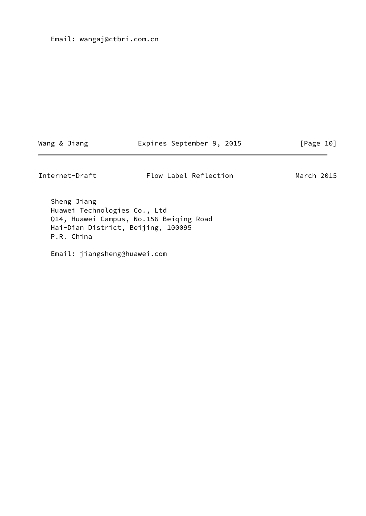Email: wangaj@ctbri.com.cn

Wang & Jiang **Expires September 9, 2015** [Page 10]

Internet-Draft Flow Label Reflection March 2015

 Sheng Jiang Huawei Technologies Co., Ltd Q14, Huawei Campus, No.156 Beiqing Road Hai-Dian District, Beijing, 100095 P.R. China

Email: jiangsheng@huawei.com